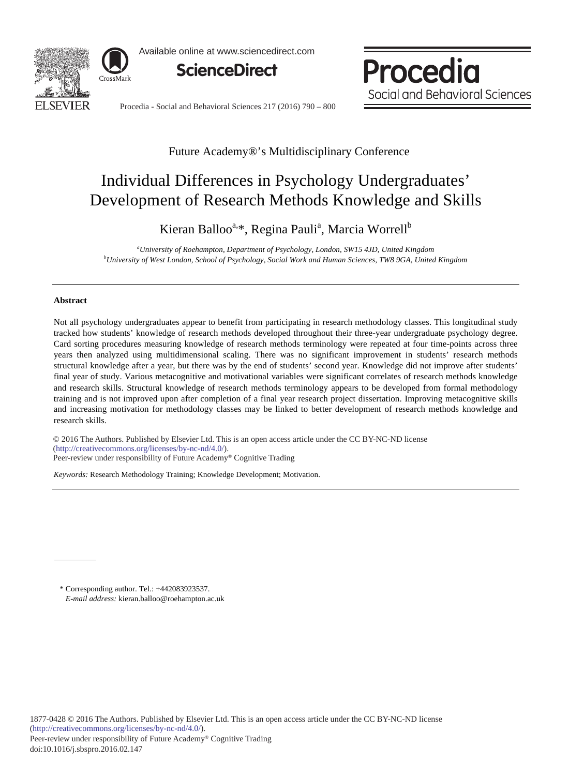

Available online at www.sciencedirect.com



Procedia Social and Behavioral Sciences

Procedia - Social and Behavioral Sciences 217 (2016) 790 - 800

# Future Academy®'s Multidisciplinary Conference

# Individual Differences in Psychology Undergraduates' Development of Research Methods Knowledge and Skills

Kieran Balloo<sup>a,</sup>\*, Regina Pauli<sup>a</sup>, Marcia Worrell<sup>b</sup>

<sup>a</sup>University of Roehampton, Department of Psychology, London, SW15 4JD, United Kingdom<br><sup>b</sup>University of West London, School of Psychology, Social Work and Human Sciences, TW8 0CA, United *University of West London, School of Psychology, Social Work and Human Sciences, TW8 9GA, United Kingdom* 

# **Abstract**

Not all psychology undergraduates appear to benefit from participating in research methodology classes. This longitudinal study tracked how students' knowledge of research methods developed throughout their three-year undergraduate psychology degree. Card sorting procedures measuring knowledge of research methods terminology were repeated at four time-points across three years then analyzed using multidimensional scaling. There was no significant improvement in students' research methods structural knowledge after a year, but there was by the end of students' second year. Knowledge did not improve after students' final year of study. Various metacognitive and motivational variables were significant correlates of research methods knowledge and research skills. Structural knowledge of research methods terminology appears to be developed from formal methodology training and is not improved upon after completion of a final year research project dissertation. Improving metacognitive skills and increasing motivation for methodology classes may be linked to better development of research methods knowledge and research skills.

© 2016 The Authors. Published by Elsevier Ltd. © 2016 The Authors. Published by Elsevier Ltd. This is an open access article under the CC BY-NC-ND license Peer-review under responsibility of Future Academy® Cognitive Trading. Peer-review under responsibility of Future Academy® Cognitive Trading(http://creativecommons.org/licenses/by-nc-nd/4.0/).

*Keywords:* Research Methodology Training; Knowledge Development; Motivation.

\* Corresponding author. Tel.: +442083923537. *E-mail address:* kieran.balloo@roehampton.ac.uk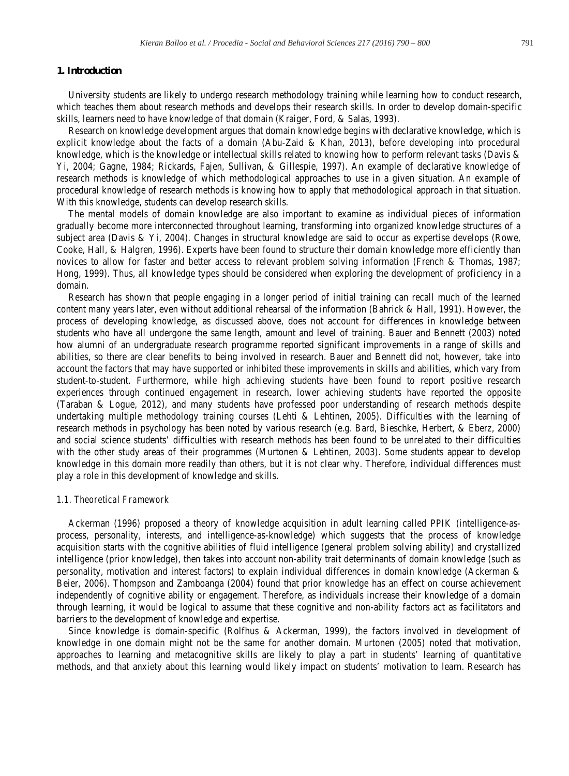# **1. Introduction**

University students are likely to undergo research methodology training while learning how to conduct research, which teaches them about research methods and develops their research skills. In order to develop domain-specific skills, learners need to have knowledge of that domain (Kraiger, Ford, & Salas, 1993).

Research on knowledge development argues that domain knowledge begins with declarative knowledge, which is explicit knowledge about the facts of a domain (Abu-Zaid & Khan, 2013), before developing into procedural knowledge, which is the knowledge or intellectual skills related to knowing how to perform relevant tasks (Davis & Yi, 2004; Gagne, 1984; Rickards, Fajen, Sullivan, & Gillespie, 1997). An example of declarative knowledge of research methods is knowledge of which methodological approaches to use in a given situation. An example of procedural knowledge of research methods is knowing how to apply that methodological approach in that situation. With this knowledge, students can develop research skills.

The mental models of domain knowledge are also important to examine as individual pieces of information gradually become more interconnected throughout learning, transforming into organized knowledge structures of a subject area (Davis & Yi, 2004). Changes in structural knowledge are said to occur as expertise develops (Rowe, Cooke, Hall, & Halgren, 1996). Experts have been found to structure their domain knowledge more efficiently than novices to allow for faster and better access to relevant problem solving information (French & Thomas, 1987; Hong, 1999). Thus, all knowledge types should be considered when exploring the development of proficiency in a domain.

Research has shown that people engaging in a longer period of initial training can recall much of the learned content many years later, even without additional rehearsal of the information (Bahrick  $&$  Hall, 1991). However, the process of developing knowledge, as discussed above, does not account for differences in knowledge between students who have all undergone the same length, amount and level of training. Bauer and Bennett (2003) noted how alumni of an undergraduate research programme reported significant improvements in a range of skills and abilities, so there are clear benefits to being involved in research. Bauer and Bennett did not, however, take into account the factors that may have supported or inhibited these improvements in skills and abilities, which vary from student-to-student. Furthermore, while high achieving students have been found to report positive research experiences through continued engagement in research, lower achieving students have reported the opposite (Taraban & Logue, 2012), and many students have professed poor understanding of research methods despite undertaking multiple methodology training courses (Lehti & Lehtinen, 2005). Difficulties with the learning of research methods in psychology has been noted by various research (e.g. Bard, Bieschke, Herbert, & Eberz, 2000) and social science students' difficulties with research methods has been found to be unrelated to their difficulties with the other study areas of their programmes (Murtonen & Lehtinen, 2003). Some students appear to develop knowledge in this domain more readily than others, but it is not clear why. Therefore, individual differences must play a role in this development of knowledge and skills.

#### *1.1. Theoretical Framework*

Ackerman (1996) proposed a theory of knowledge acquisition in adult learning called PPIK (intelligence-asprocess, personality, interests, and intelligence-as-knowledge) which suggests that the process of knowledge acquisition starts with the cognitive abilities of fluid intelligence (general problem solving ability) and crystallized intelligence (prior knowledge), then takes into account non-ability trait determinants of domain knowledge (such as personality, motivation and interest factors) to explain individual differences in domain knowledge (Ackerman & Beier, 2006). Thompson and Zamboanga (2004) found that prior knowledge has an effect on course achievement independently of cognitive ability or engagement. Therefore, as individuals increase their knowledge of a domain through learning, it would be logical to assume that these cognitive and non-ability factors act as facilitators and barriers to the development of knowledge and expertise.

Since knowledge is domain-specific (Rolfhus & Ackerman, 1999), the factors involved in development of knowledge in one domain might not be the same for another domain. Murtonen (2005) noted that motivation, approaches to learning and metacognitive skills are likely to play a part in students' learning of quantitative methods, and that anxiety about this learning would likely impact on students' motivation to learn. Research has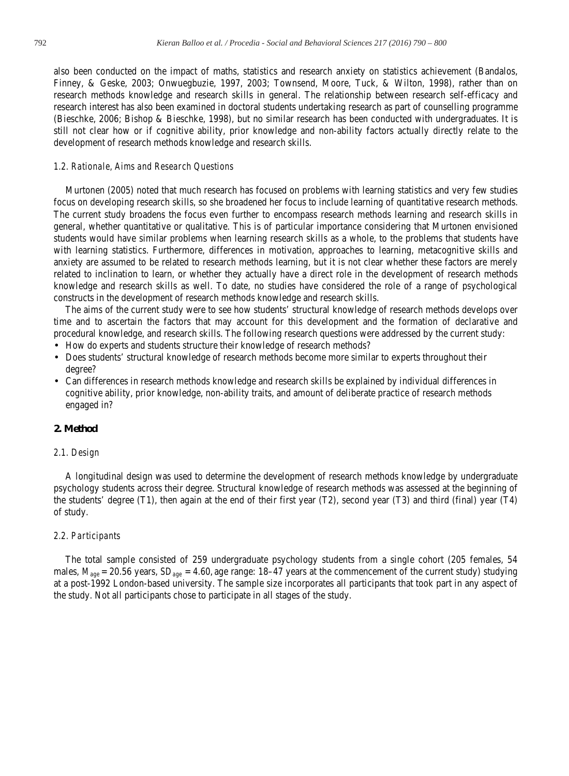also been conducted on the impact of maths, statistics and research anxiety on statistics achievement (Bandalos, Finney, & Geske, 2003; Onwuegbuzie, 1997, 2003; Townsend, Moore, Tuck, & Wilton, 1998), rather than on research methods knowledge and research skills in general. The relationship between research self-efficacy and research interest has also been examined in doctoral students undertaking research as part of counselling programme (Bieschke, 2006; Bishop & Bieschke, 1998), but no similar research has been conducted with undergraduates. It is still not clear how or if cognitive ability, prior knowledge and non-ability factors actually directly relate to the development of research methods knowledge and research skills.

#### *1.2. Rationale, Aims and Research Questions*

Murtonen (2005) noted that much research has focused on problems with learning statistics and very few studies focus on developing research skills, so she broadened her focus to include learning of quantitative research methods. The current study broadens the focus even further to encompass research methods learning and research skills in general, whether quantitative or qualitative. This is of particular importance considering that Murtonen envisioned students would have similar problems when learning research skills as a whole, to the problems that students have with learning statistics. Furthermore, differences in motivation, approaches to learning, metacognitive skills and anxiety are assumed to be related to research methods learning, but it is not clear whether these factors are merely related to inclination to learn, or whether they actually have a direct role in the development of research methods knowledge and research skills as well. To date, no studies have considered the role of a range of psychological constructs in the development of research methods knowledge and research skills.

The aims of the current study were to see how students' structural knowledge of research methods develops over time and to ascertain the factors that may account for this development and the formation of declarative and procedural knowledge, and research skills. The following research questions were addressed by the current study:

- How do experts and students structure their knowledge of research methods?
- Does students' structural knowledge of research methods become more similar to experts throughout their degree?
- Can differences in research methods knowledge and research skills be explained by individual differences in cognitive ability, prior knowledge, non-ability traits, and amount of deliberate practice of research methods engaged in?

#### **2. Method**

#### *2.1. Design*

A longitudinal design was used to determine the development of research methods knowledge by undergraduate psychology students across their degree. Structural knowledge of research methods was assessed at the beginning of the students' degree (T1), then again at the end of their first year (T2), second year (T3) and third (final) year (T4) of study.

#### *2.2. Participants*

The total sample consisted of 259 undergraduate psychology students from a single cohort (205 females, 54 males,  $M_{\text{age}} = 20.56$  years,  $SD_{\text{age}} = 4.60$ , age range: 18–47 years at the commencement of the current study) studying at a post-1992 London-based university. The sample size incorporates all participants that took part in any aspect of the study. Not all participants chose to participate in all stages of the study.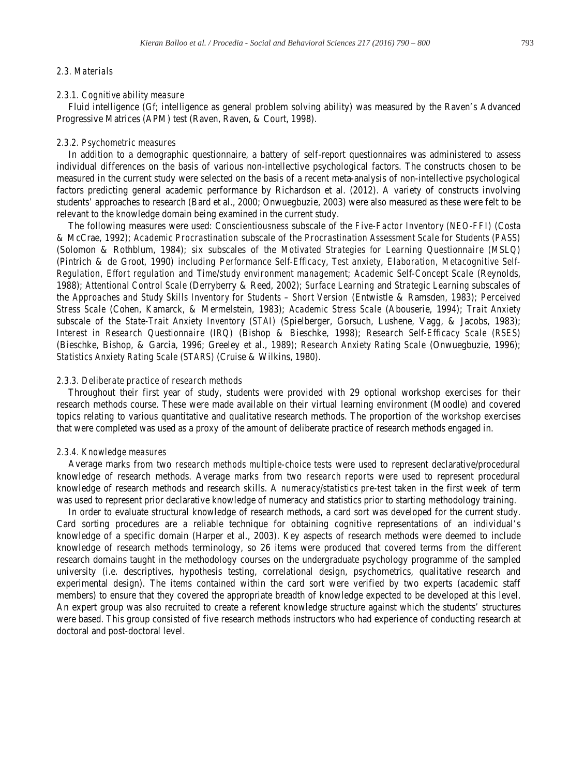# *2.3. Materials*

#### *2.3.1. Cognitive ability measure*

Fluid intelligence (G*f*; intelligence as general problem solving ability) was measured by the Raven's Advanced Progressive Matrices (APM) test (Raven, Raven, & Court, 1998).

#### *2.3.2. Psychometric measures*

In addition to a demographic questionnaire, a battery of self-report questionnaires was administered to assess individual differences on the basis of various non-intellective psychological factors. The constructs chosen to be measured in the current study were selected on the basis of a recent meta-analysis of non-intellective psychological factors predicting general academic performance by Richardson et al. (2012). A variety of constructs involving students' approaches to research (Bard et al., 2000; Onwuegbuzie, 2003) were also measured as these were felt to be relevant to the knowledge domain being examined in the current study.

The following measures were used: *Conscientiousness* subscale of the *Five-Factor Inventory (NEO-FFI)* (Costa & McCrae, 1992); *Academic Procrastination* subscale of the *Procrastination Assessment Scale for Students (PASS)*  (Solomon & Rothblum, 1984); six subscales of the *Motivated Strategies for Learning Questionnaire (MSLQ)* (Pintrich & de Groot, 1990) including *Performance Self-Efficacy*, *Test anxiety*, *Elaboration*, *Metacognitive Self-Regulation*, *Effort regulation* and *Time/study environment management*; *Academic Self-Concept Scale* (Reynolds, 1988); *Attentional Control Scale* (Derryberry & Reed, 2002); *Surface Learning* and *Strategic Learning* subscales of the *Approaches and Study Skills Inventory for Students – Short Version* (Entwistle & Ramsden, 1983); *Perceived Stress Scale* (Cohen, Kamarck, & Mermelstein, 1983); *Academic Stress Scale* (Abouserie, 1994); *Trait Anxiety*  subscale of the *State-Trait Anxiety Inventory (STAI)* (Spielberger, Gorsuch, Lushene, Vagg, & Jacobs, 1983); *Interest in Research Questionnaire (IRQ)* (Bishop & Bieschke, 1998); *Research Self-Efficacy Scale (RSES)* (Bieschke, Bishop, & Garcia, 1996; Greeley et al., 1989); *Research Anxiety Rating Scale* (Onwuegbuzie, 1996); *Statistics Anxiety Rating Scale (STARS)* (Cruise & Wilkins, 1980).

#### *2.3.3. Deliberate practice of research methods*

Throughout their first year of study, students were provided with 29 optional workshop exercises for their research methods course. These were made available on their virtual learning environment (Moodle) and covered topics relating to various quantitative and qualitative research methods. The proportion of the workshop exercises that were completed was used as a proxy of the amount of deliberate practice of research methods engaged in.

#### *2.3.4. Knowledge measures*

Average marks from two *research methods multiple-choice tests* were used to represent declarative/procedural knowledge of research methods. Average marks from two *research reports* were used to represent procedural knowledge of research methods and research skills. A *numeracy/statistics pre-test* taken in the first week of term was used to represent prior declarative knowledge of numeracy and statistics prior to starting methodology training.

In order to evaluate structural knowledge of research methods, a card sort was developed for the current study. Card sorting procedures are a reliable technique for obtaining cognitive representations of an individual's knowledge of a specific domain (Harper et al., 2003). Key aspects of research methods were deemed to include knowledge of research methods terminology, so 26 items were produced that covered terms from the different research domains taught in the methodology courses on the undergraduate psychology programme of the sampled university (i.e. descriptives, hypothesis testing, correlational design, psychometrics, qualitative research and experimental design). The items contained within the card sort were verified by two experts (academic staff members) to ensure that they covered the appropriate breadth of knowledge expected to be developed at this level. An expert group was also recruited to create a referent knowledge structure against which the students' structures were based. This group consisted of five research methods instructors who had experience of conducting research at doctoral and post-doctoral level.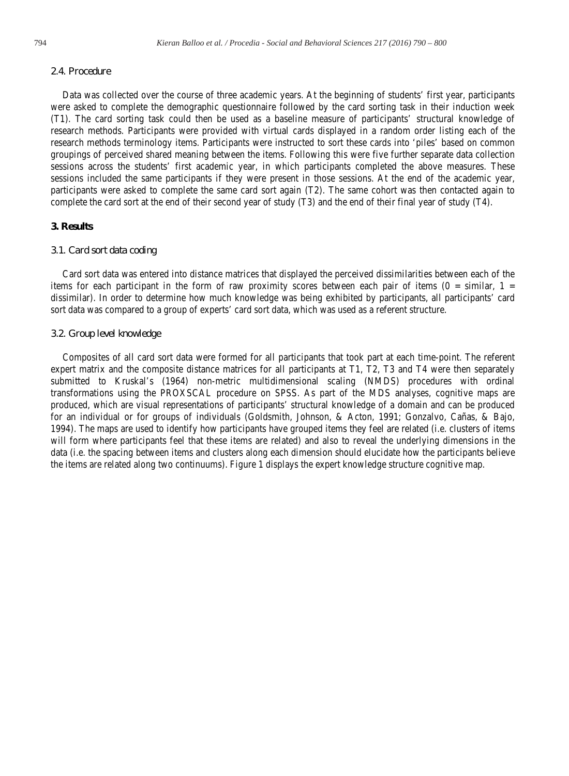# *2.4. Procedure*

Data was collected over the course of three academic years. At the beginning of students' first year, participants were asked to complete the demographic questionnaire followed by the card sorting task in their induction week (T1). The card sorting task could then be used as a baseline measure of participants' structural knowledge of research methods. Participants were provided with virtual cards displayed in a random order listing each of the research methods terminology items. Participants were instructed to sort these cards into 'piles' based on common groupings of perceived shared meaning between the items. Following this were five further separate data collection sessions across the students' first academic year, in which participants completed the above measures. These sessions included the same participants if they were present in those sessions. At the end of the academic year, participants were asked to complete the same card sort again (T2). The same cohort was then contacted again to complete the card sort at the end of their second year of study (T3) and the end of their final year of study (T4).

#### **3. Results**

#### *3.1. Card sort data coding*

Card sort data was entered into distance matrices that displayed the perceived dissimilarities between each of the items for each participant in the form of raw proximity scores between each pair of items ( $0 =$  similar,  $1 =$ dissimilar). In order to determine how much knowledge was being exhibited by participants, all participants' card sort data was compared to a group of experts' card sort data, which was used as a referent structure.

#### *3.2. Group level knowledge*

Composites of all card sort data were formed for all participants that took part at each time-point. The referent expert matrix and the composite distance matrices for all participants at T1, T2, T3 and T4 were then separately submitted to Kruskal's (1964) non-metric multidimensional scaling (NMDS) procedures with ordinal transformations using the PROXSCAL procedure on SPSS. As part of the MDS analyses, cognitive maps are produced, which are visual representations of participants' structural knowledge of a domain and can be produced for an individual or for groups of individuals (Goldsmith, Johnson, & Acton, 1991; Gonzalvo, Cañas, & Bajo, 1994). The maps are used to identify how participants have grouped items they feel are related (i.e. clusters of items will form where participants feel that these items are related) and also to reveal the underlying dimensions in the data (i.e. the spacing between items and clusters along each dimension should elucidate how the participants believe the items are related along two continuums). Figure 1 displays the expert knowledge structure cognitive map.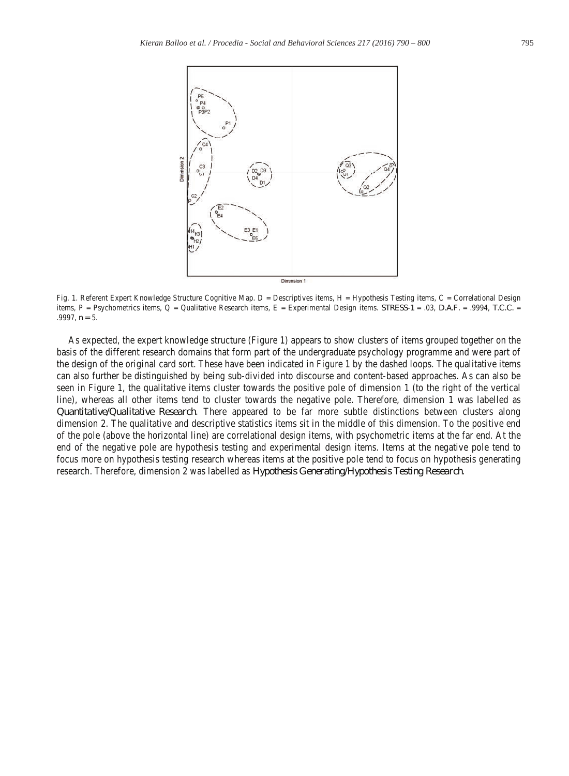$\frac{\infty}{P_3P_2}$ 



Fig. 1. Referent Expert Knowledge Structure Cognitive Map. D = Descriptives items, H = Hypothesis Testing items, C = Correlational Design items, P = Psychometrics items, Q = Qualitative Research items, E = Experimental Design items. *STRESS-1* = .03, *D.A.F.* = .9994, *T.C.C.* = .9997, *n =* 5.

Dimension 1

As expected, the expert knowledge structure (Figure 1) appears to show clusters of items grouped together on the basis of the different research domains that form part of the undergraduate psychology programme and were part of the design of the original card sort. These have been indicated in Figure 1 by the dashed loops. The qualitative items can also further be distinguished by being sub-divided into discourse and content-based approaches. As can also be seen in Figure 1, the qualitative items cluster towards the positive pole of dimension 1 (to the right of the vertical line), whereas all other items tend to cluster towards the negative pole. Therefore, dimension 1 was labelled as *Quantitative/Qualitative Research*. There appeared to be far more subtle distinctions between clusters along dimension 2. The qualitative and descriptive statistics items sit in the middle of this dimension. To the positive end of the pole (above the horizontal line) are correlational design items, with psychometric items at the far end. At the end of the negative pole are hypothesis testing and experimental design items. Items at the negative pole tend to focus more on hypothesis testing research whereas items at the positive pole tend to focus on hypothesis generating research. Therefore, dimension 2 was labelled as *Hypothesis Generating/Hypothesis Testing Research*.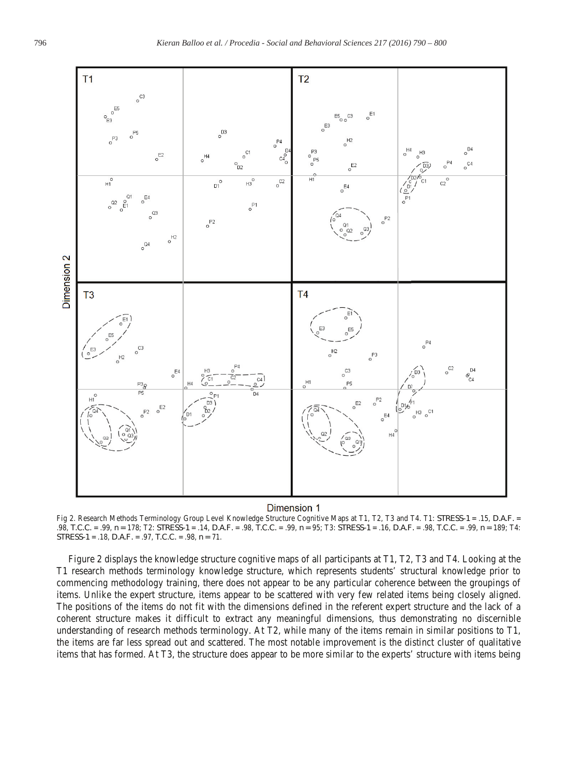

#### Dimension 1

Fig 2. Research Methods Terminology Group Level Knowledge Structure Cognitive Maps at T1, T2, T3 and T4. T1: *STRESS-1* = .15, *D.A.F.* = .98, *T.C.C.* = .99, *n =* 178; T2: *STRESS-1* = .14, *D.A.F.* = .98, *T.C.C.* = .99, *n =* 95; T3: *STRESS-1* = .16, *D.A.F.* = .98, *T.C.C.* = .99, *n =* 189; T4: *STRESS-1* = .18, *D.A.F.* = .97, *T.C.C.* = .98, *n =* 71.

Figure 2 displays the knowledge structure cognitive maps of all participants at T1, T2, T3 and T4. Looking at the T1 research methods terminology knowledge structure, which represents students' structural knowledge prior to commencing methodology training, there does not appear to be any particular coherence between the groupings of items. Unlike the expert structure, items appear to be scattered with very few related items being closely aligned. The positions of the items do not fit with the dimensions defined in the referent expert structure and the lack of a coherent structure makes it difficult to extract any meaningful dimensions, thus demonstrating no discernible understanding of research methods terminology. At T2, while many of the items remain in similar positions to T1, the items are far less spread out and scattered. The most notable improvement is the distinct cluster of qualitative items that has formed. At T3, the structure does appear to be more similar to the experts' structure with items being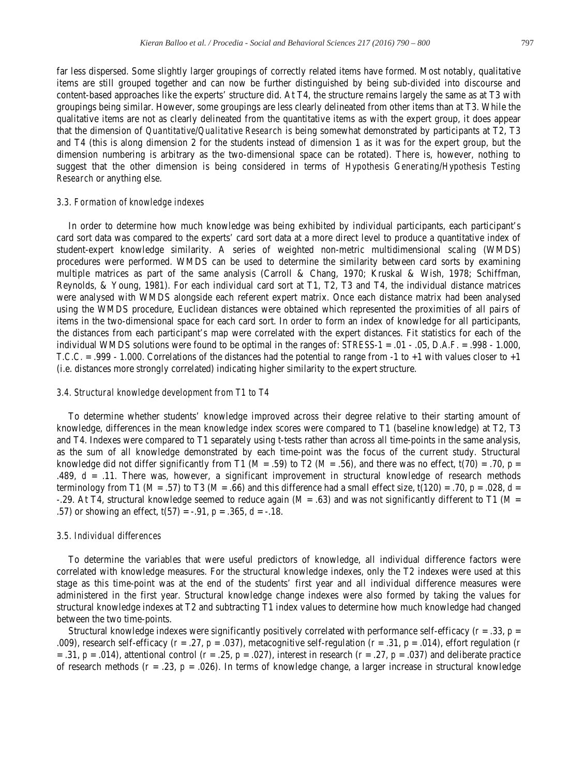far less dispersed. Some slightly larger groupings of correctly related items have formed. Most notably, qualitative items are still grouped together and can now be further distinguished by being sub-divided into discourse and content-based approaches like the experts' structure did. At T4, the structure remains largely the same as at T3 with groupings being similar. However, some groupings are less clearly delineated from other items than at T3. While the qualitative items are not as clearly delineated from the quantitative items as with the expert group, it does appear that the dimension of *Quantitative/Qualitative Research* is being somewhat demonstrated by participants at T2, T3 and T4 (this is along dimension 2 for the students instead of dimension 1 as it was for the expert group, but the dimension numbering is arbitrary as the two-dimensional space can be rotated). There is, however, nothing to suggest that the other dimension is being considered in terms of *Hypothesis Generating/Hypothesis Testing Research* or anything else.

#### *3.3. Formation of knowledge indexes*

In order to determine how much knowledge was being exhibited by individual participants, each participant's card sort data was compared to the experts' card sort data at a more direct level to produce a quantitative index of student-expert knowledge similarity. A series of weighted non-metric multidimensional scaling (WMDS) procedures were performed. WMDS can be used to determine the similarity between card sorts by examining multiple matrices as part of the same analysis (Carroll & Chang, 1970; Kruskal & Wish, 1978; Schiffman, Reynolds, & Young, 1981). For each individual card sort at T1, T2, T3 and T4, the individual distance matrices were analysed with WMDS alongside each referent expert matrix. Once each distance matrix had been analysed using the WMDS procedure, Euclidean distances were obtained which represented the proximities of all pairs of items in the two-dimensional space for each card sort. In order to form an index of knowledge for all participants, the distances from each participant's map were correlated with the expert distances. Fit statistics for each of the individual WMDS solutions were found to be optimal in the ranges of: *STRESS-1* = .01 - .05, *D.A.F.* = .998 - 1.000, *T.C.C.* = .999 - 1.000. Correlations of the distances had the potential to range from -1 to +1 with values closer to +1 (i.e. distances more strongly correlated) indicating higher similarity to the expert structure.

#### *3.4. Structural knowledge development from T1 to T4*

To determine whether students' knowledge improved across their degree relative to their starting amount of knowledge, differences in the mean knowledge index scores were compared to T1 (baseline knowledge) at T2, T3 and T4. Indexes were compared to T1 separately using *t*-tests rather than across all time-points in the same analysis, as the sum of all knowledge demonstrated by each time-point was the focus of the current study. Structural knowledge did not differ significantly from T1 ( $M = .59$ ) to T2 ( $M = .56$ ), and there was no effect,  $t(70) = .70$ ,  $p =$ .489, *d* = .11. There was, however, a significant improvement in structural knowledge of research methods terminology from T1 ( $M = .57$ ) to T3 ( $M = .66$ ) and this difference had a small effect size,  $t(120) = .70$ ,  $p = .028$ ,  $d =$ -.29. At T4, structural knowledge seemed to reduce again (*M* = .63) and was not significantly different to T1 (*M* = .57) or showing an effect, *t*(57) = -.91, *p* = .365, *d* = -.18.

#### *3.5. Individual differences*

To determine the variables that were useful predictors of knowledge, all individual difference factors were correlated with knowledge measures. For the structural knowledge indexes, only the T2 indexes were used at this stage as this time-point was at the end of the students' first year and all individual difference measures were administered in the first year. Structural knowledge change indexes were also formed by taking the values for structural knowledge indexes at T2 and subtracting T1 index values to determine how much knowledge had changed between the two time-points.

Structural knowledge indexes were significantly positively correlated with performance self-efficacy ( $r = .33$ ,  $p =$ .009), research self-efficacy ( $r = .27$ ,  $p = .037$ ), metacognitive self-regulation ( $r = .31$ ,  $p = .014$ ), effort regulation ( $r = .31$ )  $= .31, p = .014$ ), attentional control ( $r = .25, p = .027$ ), interest in research ( $r = .27, p = .037$ ) and deliberate practice of research methods  $(r = .23, p = .026)$ . In terms of knowledge change, a larger increase in structural knowledge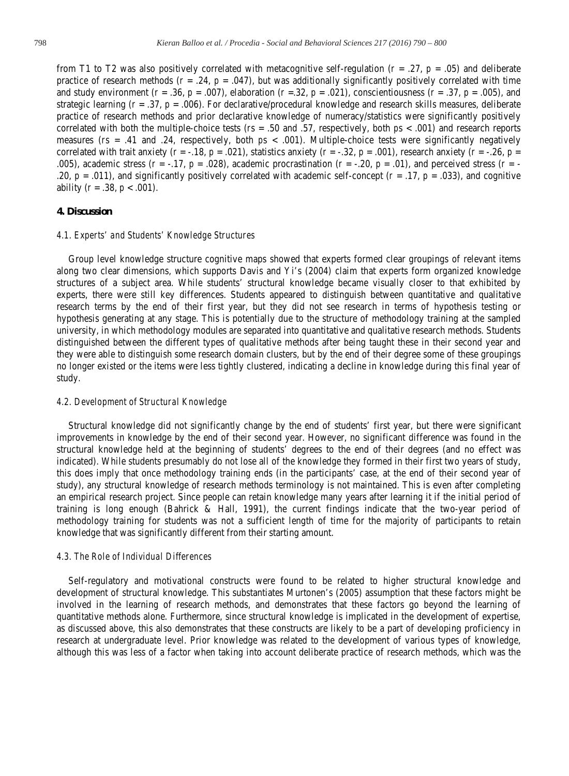from T1 to T2 was also positively correlated with metacognitive self-regulation  $(r = .27, p = .05)$  and deliberate practice of research methods ( $r = .24$ ,  $p = .047$ ), but was additionally significantly positively correlated with time and study environment ( $r = .36$ ,  $p = .007$ ), elaboration ( $r = .32$ ,  $p = .021$ ), conscientiousness ( $r = .37$ ,  $p = .005$ ), and strategic learning  $(r = .37, p = .006)$ . For declarative/procedural knowledge and research skills measures, deliberate practice of research methods and prior declarative knowledge of numeracy/statistics were significantly positively correlated with both the multiple-choice tests (*r*s = .50 and .57, respectively, both *p*s < .001) and research reports measures (*r*s = .41 and .24, respectively, both *p*s < .001). Multiple-choice tests were significantly negatively correlated with trait anxiety  $(r = -.18, p = .021)$ , statistics anxiety  $(r = -.32, p = .001)$ , research anxiety  $(r = -.26, p = .001)$ .005), academic stress ( $r = -17$ ,  $p = .028$ ), academic procrastination ( $r = -20$ ,  $p = .01$ ), and perceived stress ( $r = -17$ .20,  $p = .011$ ), and significantly positively correlated with academic self-concept ( $r = .17$ ,  $p = .033$ ), and cognitive ability ( $r = .38$ ,  $p < .001$ ).

#### **4. Discussion**

#### *4.1. Experts' and Students' Knowledge Structures*

Group level knowledge structure cognitive maps showed that experts formed clear groupings of relevant items along two clear dimensions, which supports Davis and Yi's (2004) claim that experts form organized knowledge structures of a subject area. While students' structural knowledge became visually closer to that exhibited by experts, there were still key differences. Students appeared to distinguish between quantitative and qualitative research terms by the end of their first year, but they did not see research in terms of hypothesis testing or hypothesis generating at any stage. This is potentially due to the structure of methodology training at the sampled university, in which methodology modules are separated into quantitative and qualitative research methods. Students distinguished between the different types of qualitative methods after being taught these in their second year and they were able to distinguish some research domain clusters, but by the end of their degree some of these groupings no longer existed or the items were less tightly clustered, indicating a decline in knowledge during this final year of study.

#### *4.2. Development of Structural Knowledge*

Structural knowledge did not significantly change by the end of students' first year, but there were significant improvements in knowledge by the end of their second year. However, no significant difference was found in the structural knowledge held at the beginning of students' degrees to the end of their degrees (and no effect was indicated). While students presumably do not lose all of the knowledge they formed in their first two years of study, this does imply that once methodology training ends (in the participants' case, at the end of their second year of study), any structural knowledge of research methods terminology is not maintained. This is even after completing an empirical research project. Since people can retain knowledge many years after learning it if the initial period of training is long enough (Bahrick & Hall, 1991), the current findings indicate that the two-year period of methodology training for students was not a sufficient length of time for the majority of participants to retain knowledge that was significantly different from their starting amount.

#### *4.3. The Role of Individual Differences*

Self-regulatory and motivational constructs were found to be related to higher structural knowledge and development of structural knowledge. This substantiates Murtonen's (2005) assumption that these factors might be involved in the learning of research methods, and demonstrates that these factors go beyond the learning of quantitative methods alone. Furthermore, since structural knowledge is implicated in the development of expertise, as discussed above, this also demonstrates that these constructs are likely to be a part of developing proficiency in research at undergraduate level. Prior knowledge was related to the development of various types of knowledge, although this was less of a factor when taking into account deliberate practice of research methods, which was the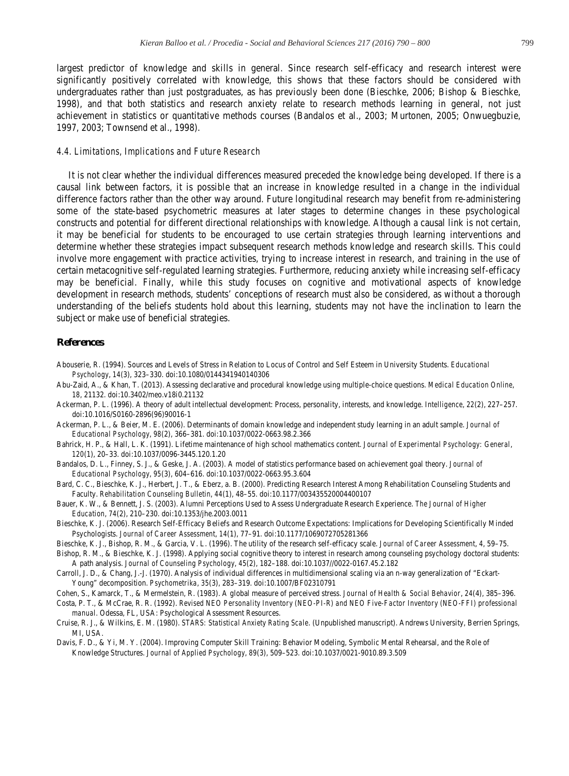largest predictor of knowledge and skills in general. Since research self-efficacy and research interest were significantly positively correlated with knowledge, this shows that these factors should be considered with undergraduates rather than just postgraduates, as has previously been done (Bieschke, 2006; Bishop & Bieschke, 1998), and that both statistics and research anxiety relate to research methods learning in general, not just achievement in statistics or quantitative methods courses (Bandalos et al., 2003; Murtonen, 2005; Onwuegbuzie, 1997, 2003; Townsend et al., 1998).

#### *4.4. Limitations, Implications and Future Research*

It is not clear whether the individual differences measured preceded the knowledge being developed. If there is a causal link between factors, it is possible that an increase in knowledge resulted in a change in the individual difference factors rather than the other way around. Future longitudinal research may benefit from re-administering some of the state-based psychometric measures at later stages to determine changes in these psychological constructs and potential for different directional relationships with knowledge. Although a causal link is not certain, it may be beneficial for students to be encouraged to use certain strategies through learning interventions and determine whether these strategies impact subsequent research methods knowledge and research skills. This could involve more engagement with practice activities, trying to increase interest in research, and training in the use of certain metacognitive self-regulated learning strategies. Furthermore, reducing anxiety while increasing self-efficacy may be beneficial. Finally, while this study focuses on cognitive and motivational aspects of knowledge development in research methods, students' conceptions of research must also be considered, as without a thorough understanding of the beliefs students hold about this learning, students may not have the inclination to learn the subject or make use of beneficial strategies.

# **References**

- Abouserie, R. (1994). Sources and Levels of Stress in Relation to Locus of Control and Self Esteem in University Students. *Educational Psychology*, *14*(3), 323–330. doi:10.1080/0144341940140306
- Abu-Zaid, A., & Khan, T. (2013). Assessing declarative and procedural knowledge using multiple-choice questions. *Medical Education Online*, *18*, 21132. doi:10.3402/meo.v18i0.21132
- Ackerman, P. L. (1996). A theory of adult intellectual development: Process, personality, interests, and knowledge. *Intelligence*, *22*(2), 227–257. doi:10.1016/S0160-2896(96)90016-1
- Ackerman, P. L., & Beier, M. E. (2006). Determinants of domain knowledge and independent study learning in an adult sample. *Journal of Educational Psychology*, *98*(2), 366–381. doi:10.1037/0022-0663.98.2.366
- Bahrick, H. P., & Hall, L. K. (1991). Lifetime maintenance of high school mathematics content. *Journal of Experimental Psychology: General*, *120*(1), 20–33. doi:10.1037/0096-3445.120.1.20
- Bandalos, D. L., Finney, S. J., & Geske, J. A. (2003). A model of statistics performance based on achievement goal theory. *Journal of Educational Psychology*, *95*(3), 604–616. doi:10.1037/0022-0663.95.3.604
- Bard, C. C., Bieschke, K. J., Herbert, J. T., & Eberz, a. B. (2000). Predicting Research Interest Among Rehabilitation Counseling Students and Faculty. *Rehabilitation Counseling Bulletin*, *44*(1), 48–55. doi:10.1177/003435520004400107
- Bauer, K. W., & Bennett, J. S. (2003). Alumni Perceptions Used to Assess Undergraduate Research Experience. *The Journal of Higher Education*, *74*(2), 210–230. doi:10.1353/jhe.2003.0011
- Bieschke, K. J. (2006). Research Self-Efficacy Beliefs and Research Outcome Expectations: Implications for Developing Scientifically Minded Psychologists. *Journal of Career Assessment*, *14*(1), 77–91. doi:10.1177/1069072705281366
- Bieschke, K. J., Bishop, R. M., & Garcia, V. L. (1996). The utility of the research self-efficacy scale. *Journal of Career Assessment*, *4*, 59–75. Bishop, R. M., & Bieschke, K. J. (1998). Applying social cognitive theory to interest in research among counseling psychology doctoral students:

A path analysis. *Journal of Counseling Psychology*, *45*(2), 182–188. doi:10.1037//0022-0167.45.2.182

- Carroll, J. D., & Chang, J.-J. (1970). Analysis of individual differences in multidimensional scaling via an n-way generalization of "Eckart-Young" decomposition. *Psychometrika*, *35*(3), 283–319. doi:10.1007/BF02310791
- Cohen, S., Kamarck, T., & Mermelstein, R. (1983). A global measure of perceived stress. *Journal of Health & Social Behavior*, *24*(4), 385–396.
- Costa, P. T., & McCrae, R. R. (1992). *Revised NEO Personality Inventory (NEO-PI-R) and NEO Five-Factor Inventory (NEO-FFI) professional manual*. Odessa, FL, USA: Psychological Assessment Resources.
- Cruise, R. J., & Wilkins, E. M. (1980). *STARS: Statistical Anxiety Rating Scale*. (Unpublished manuscript). Andrews University, Berrien Springs, MI, USA.
- Davis, F. D., & Yi, M. Y. (2004). Improving Computer Skill Training: Behavior Modeling, Symbolic Mental Rehearsal, and the Role of Knowledge Structures. *Journal of Applied Psychology*, *89*(3), 509–523. doi:10.1037/0021-9010.89.3.509